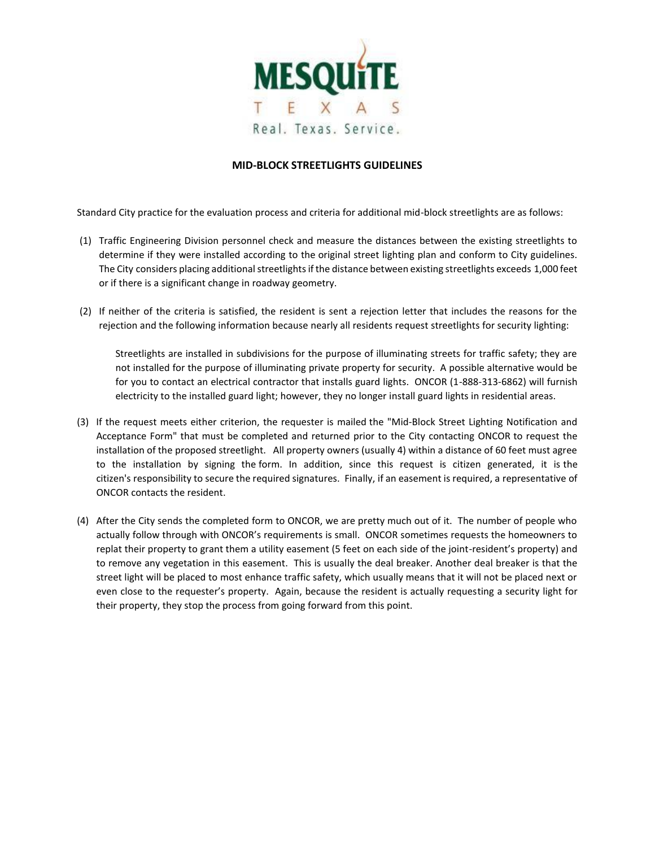

## **MID-BLOCK STREETLIGHTS GUIDELINES**

Standard City practice for the evaluation process and criteria for additional mid-block streetlights are as follows:

- (1) Traffic Engineering Division personnel check and measure the distances between the existing streetlights to determine if they were installed according to the original street lighting plan and conform to City guidelines. The City considers placing additional streetlights if the distance between existing streetlights exceeds 1,000 feet or if there is a significant change in roadway geometry.
- (2) If neither of the criteria is satisfied, the resident is sent a rejection letter that includes the reasons for the rejection and the following information because nearly all residents request streetlights for security lighting:

Streetlights are installed in subdivisions for the purpose of illuminating streets for traffic safety; they are not installed for the purpose of illuminating private property for security. A possible alternative would be for you to contact an electrical contractor that installs guard lights. ONCOR (1-888-313-6862) will furnish electricity to the installed guard light; however, they no longer install guard lights in residential areas.

- (3) If the request meets either criterion, the requester is mailed the "Mid-Block Street Lighting Notification and Acceptance Form" that must be completed and returned prior to the City contacting ONCOR to request the installation of the proposed streetlight. All property owners (usually 4) within a distance of 60 feet must agree to the installation by signing the form. In addition, since this request is citizen generated, it is the citizen's responsibility to secure the required signatures. Finally, if an easement is required, a representative of ONCOR contacts the resident.
- (4) After the City sends the completed form to ONCOR, we are pretty much out of it. The number of people who actually follow through with ONCOR's requirements is small. ONCOR sometimes requests the homeowners to replat their property to grant them a utility easement (5 feet on each side of the joint-resident's property) and to remove any vegetation in this easement. This is usually the deal breaker. Another deal breaker is that the street light will be placed to most enhance traffic safety, which usually means that it will not be placed next or even close to the requester's property. Again, because the resident is actually requesting a security light for their property, they stop the process from going forward from this point.